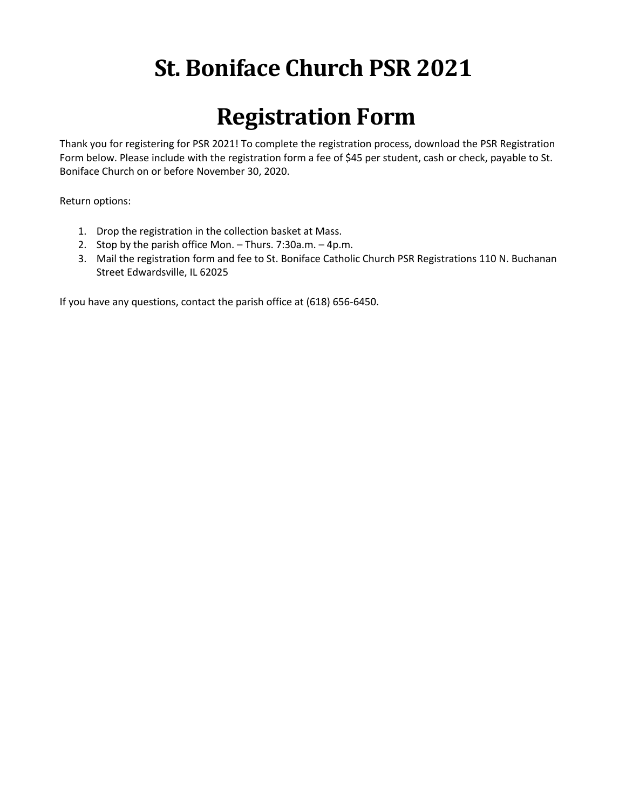## **St. Boniface Church PSR 2021**

## **Registration Form**

Thank you for registering for PSR 2021! To complete the registration process, download the PSR Registration Form below. Please include with the registration form a fee of \$45 per student, cash or check, payable to St. Boniface Church on or before November 30, 2020.

Return options:

- 1. Drop the registration in the collection basket at Mass.
- 2. Stop by the parish office Mon. Thurs. 7:30a.m. 4p.m.
- 3. Mail the registration form and fee to St. Boniface Catholic Church PSR Registrations 110 N. Buchanan Street Edwardsville, IL 62025

If you have any questions, contact the parish office at (618) 656-6450.